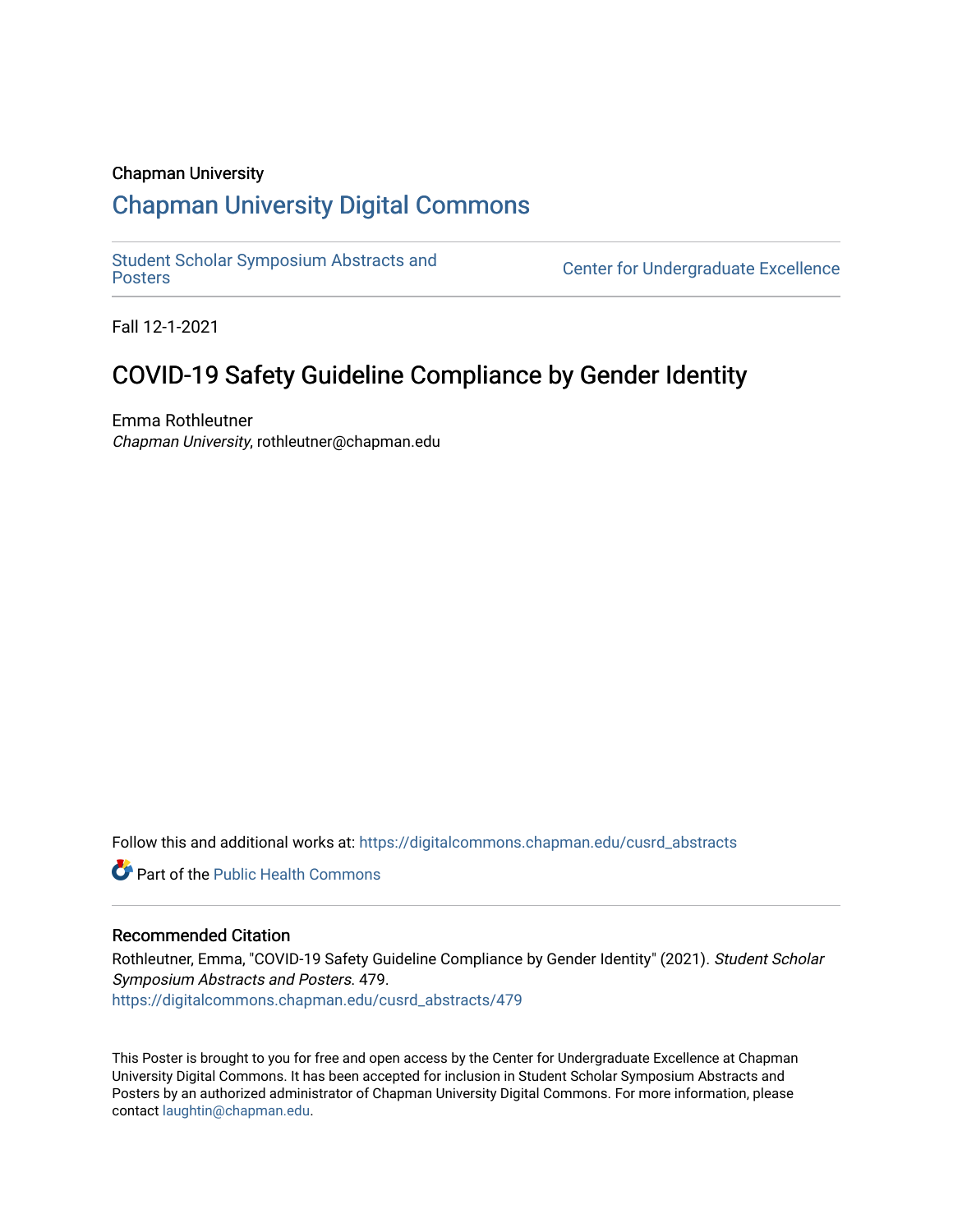## Chapman University

# [Chapman University Digital Commons](https://digitalcommons.chapman.edu/)

[Student Scholar Symposium Abstracts and](https://digitalcommons.chapman.edu/cusrd_abstracts) 

**Center for Undergraduate Excellence** 

Fall 12-1-2021

# COVID-19 Safety Guideline Compliance by Gender Identity

Emma Rothleutner Chapman University, rothleutner@chapman.edu

Follow this and additional works at: [https://digitalcommons.chapman.edu/cusrd\\_abstracts](https://digitalcommons.chapman.edu/cusrd_abstracts?utm_source=digitalcommons.chapman.edu%2Fcusrd_abstracts%2F479&utm_medium=PDF&utm_campaign=PDFCoverPages) 

**C** Part of the Public Health Commons

### Recommended Citation

Rothleutner, Emma, "COVID-19 Safety Guideline Compliance by Gender Identity" (2021). Student Scholar Symposium Abstracts and Posters. 479. [https://digitalcommons.chapman.edu/cusrd\\_abstracts/479](https://digitalcommons.chapman.edu/cusrd_abstracts/479?utm_source=digitalcommons.chapman.edu%2Fcusrd_abstracts%2F479&utm_medium=PDF&utm_campaign=PDFCoverPages) 

This Poster is brought to you for free and open access by the Center for Undergraduate Excellence at Chapman University Digital Commons. It has been accepted for inclusion in Student Scholar Symposium Abstracts and Posters by an authorized administrator of Chapman University Digital Commons. For more information, please contact [laughtin@chapman.edu](mailto:laughtin@chapman.edu).